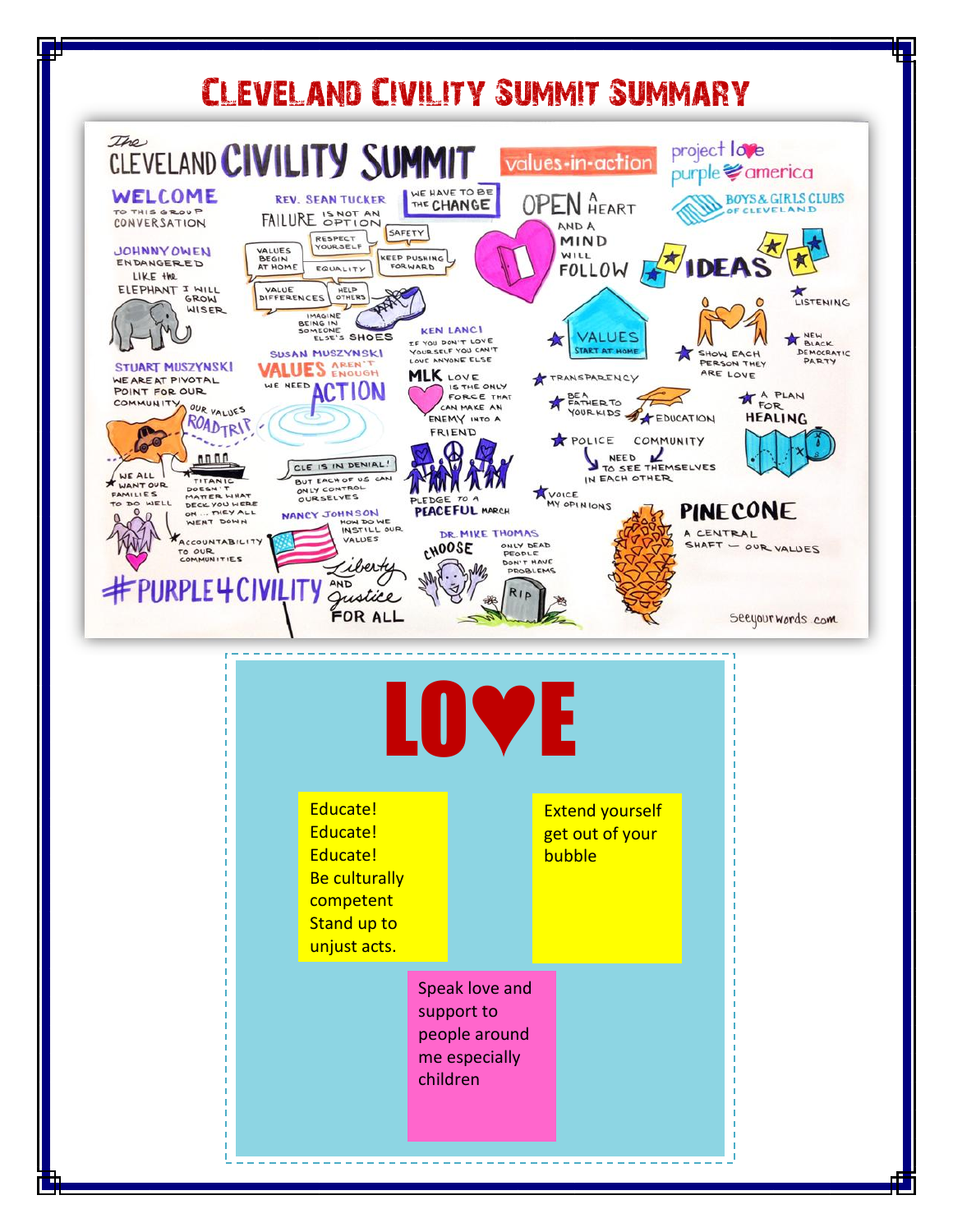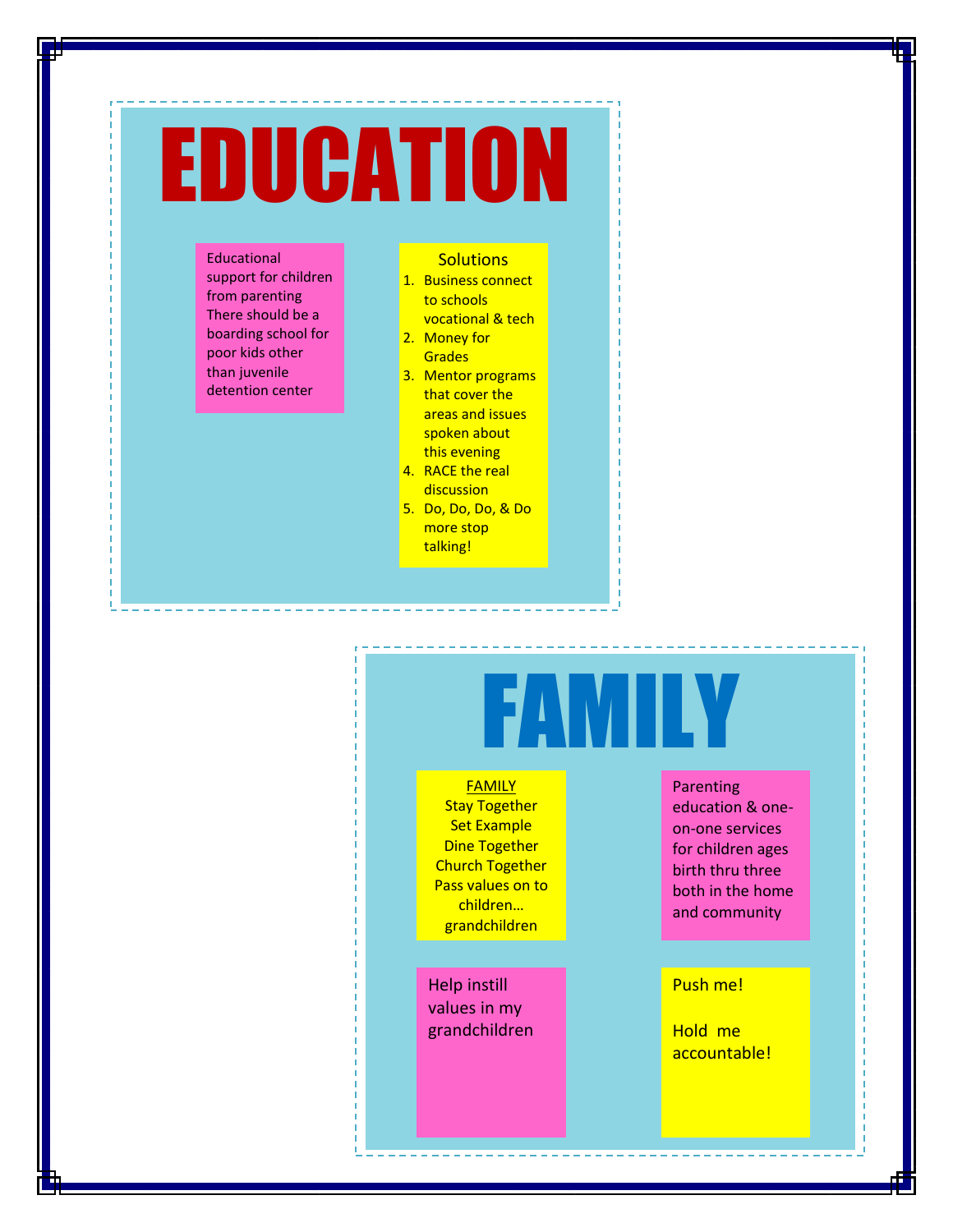# EDUCATION

Educational support for children from parenting There should be a boarding school for poor kids other than juvenile detention center

### **Solutions**

- 1. Business connect to schools vocational & tech
- 2. Money for **Grades**
- 3. Mentor programs that cover the areas and issues spoken about this evening
- 4. RACE the real discussion
- 5. Do, Do, Do, & Do more stop talking!

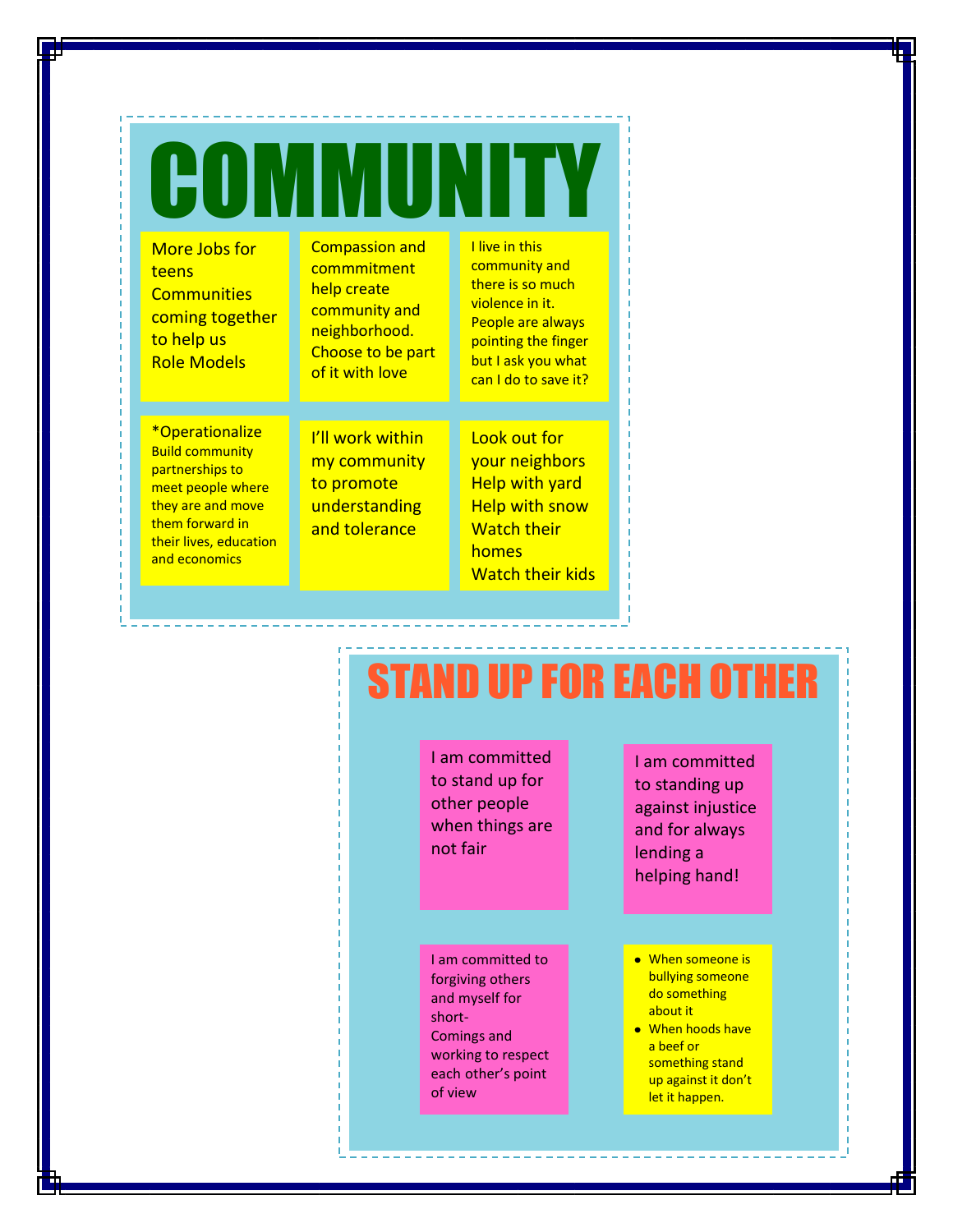| More Jobs for<br>teens<br><b>Communities</b><br>coming together<br>to help us<br><b>Role Models</b> | <b>Compassion and</b><br>commmitment<br>help create<br>community and<br>neighborhood.<br>Choose to be part<br>of it with love | I live in this<br>community and<br>there is so much<br>violence in it.<br>People are always<br>pointing the finger<br>but I ask you what<br>can I do to save it? |
|-----------------------------------------------------------------------------------------------------|-------------------------------------------------------------------------------------------------------------------------------|------------------------------------------------------------------------------------------------------------------------------------------------------------------|
| <i><b>*Operationalize</b></i>                                                                       | <u>I'll work within</u>                                                                                                       | <u>Look out for</u>                                                                                                                                              |

Build community partnerships to meet people where they are and move them forward in their lives, education and economics

I'll work within my community to promote understanding and tolerance

Look out for your neighbors Help with yard Help with snow Watch their homes Watch their kids

### STAND UP FOR EACH OTHER

I am committed to stand up for other people when things are not fair

I am committed to forgiving others and myself for short-Comings and working to respect each other's point of view

I am committed to standing up against injustice and for always lending a helping hand!

- When someone is bullying someone do something about it
- When hoods have a beef or something stand up against it don't let it happen.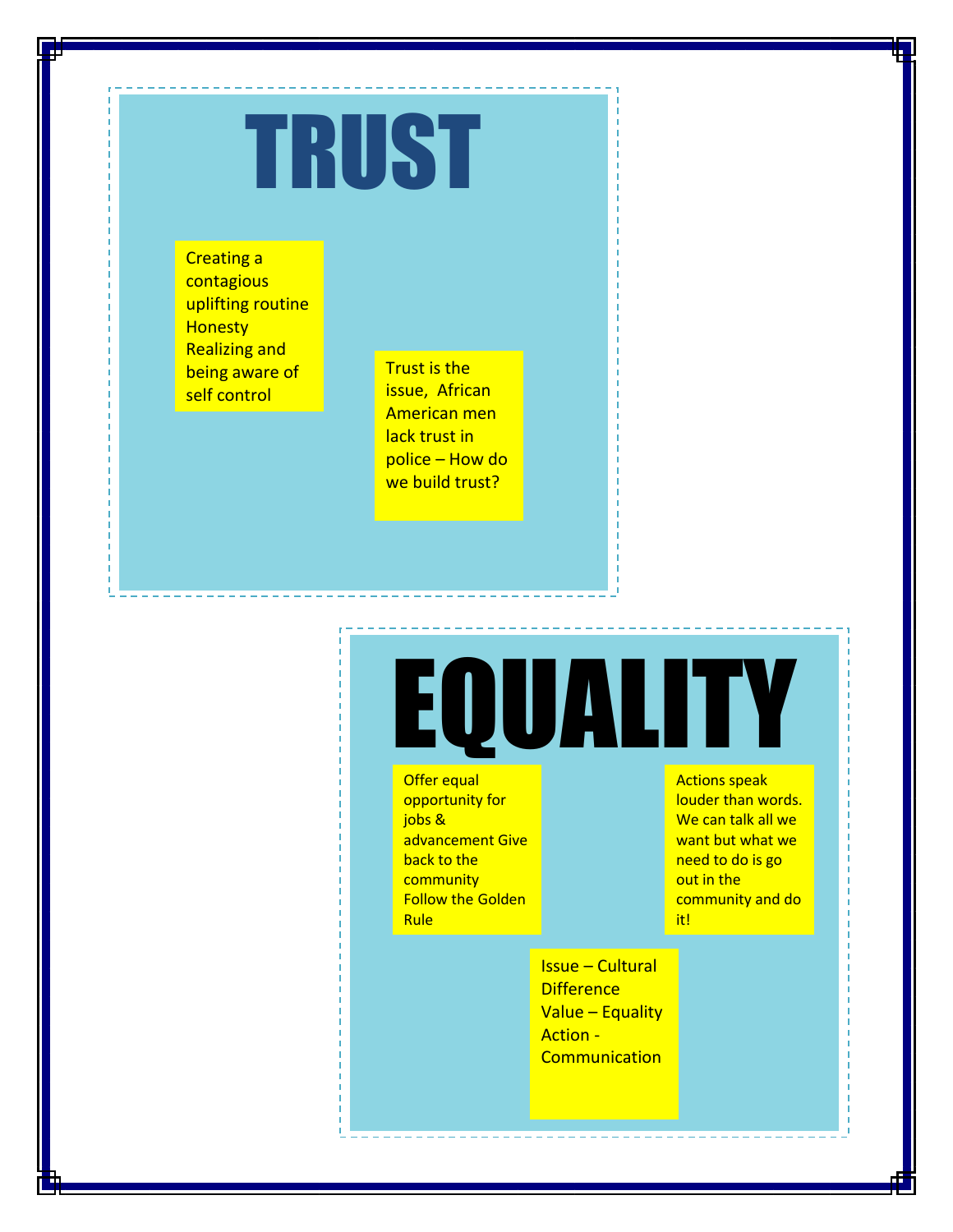# TRUST

Creating a contagious uplifting routine **Honesty** Realizing and being aware of self control

Trust is the issue, African American men lack trust in police – How do we build trust?

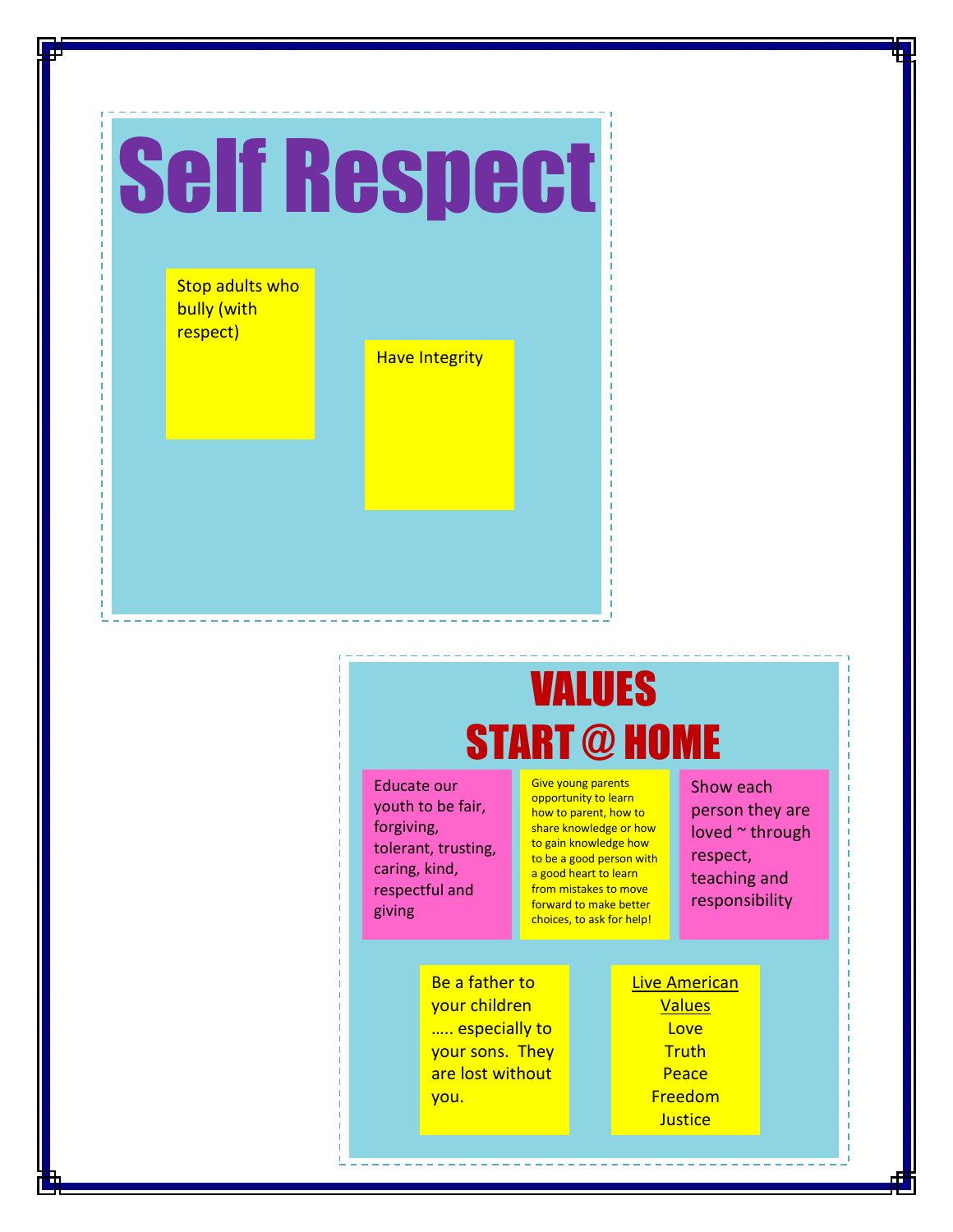

### VALUES START @ HOME

Educate our youth to be fair, forgiving, tolerant, trusting, caring, kind, respectful and giving

Give young parents opportunity to learn how to parent, how to share knowledge or how to gain knowledge how to be a good person with a good heart to learn from mistakes to move forward to make better choices, to ask for help!

Be a father to your children ..... especially to your sons. They are lost without you.

Live American Values **Love Truth Peace** Freedom **Justice** 

Show each person they are loved ~ through respect, teaching and responsibility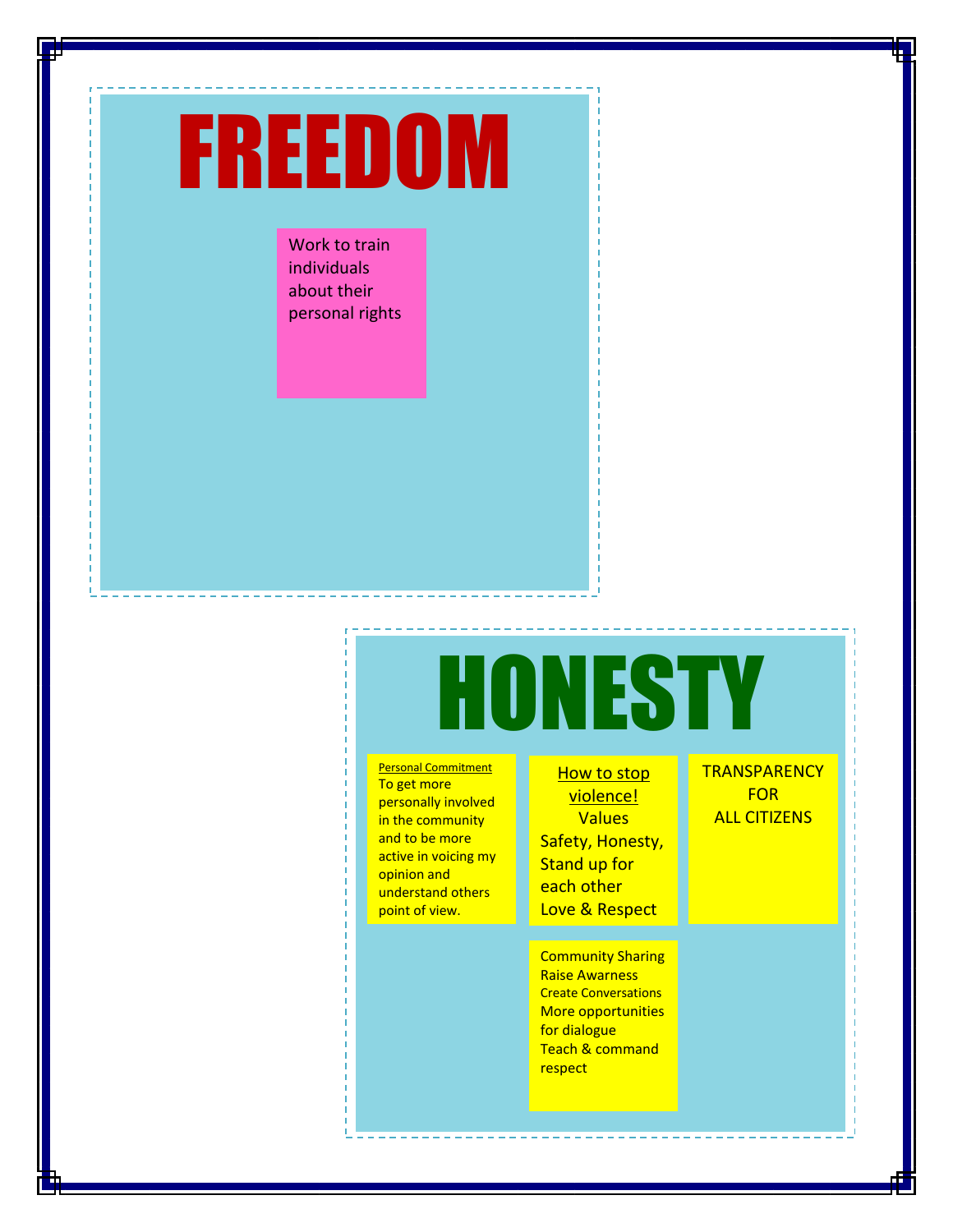## FREEDOM

Work to train individuals about their personal rights

#### HONESTY **Personal Commitment** To get more personally involved in the community and to be more active in voicing my opinion and understand others point of view. **TRANSPARENCY FOR How to stop** violence! Values Safety, Honesty, Stand up for each other Love & Respect

Community Sharing Raise Awarness Create Conversations More opportunities for dialogue Teach & command respect

ALL CITIZENS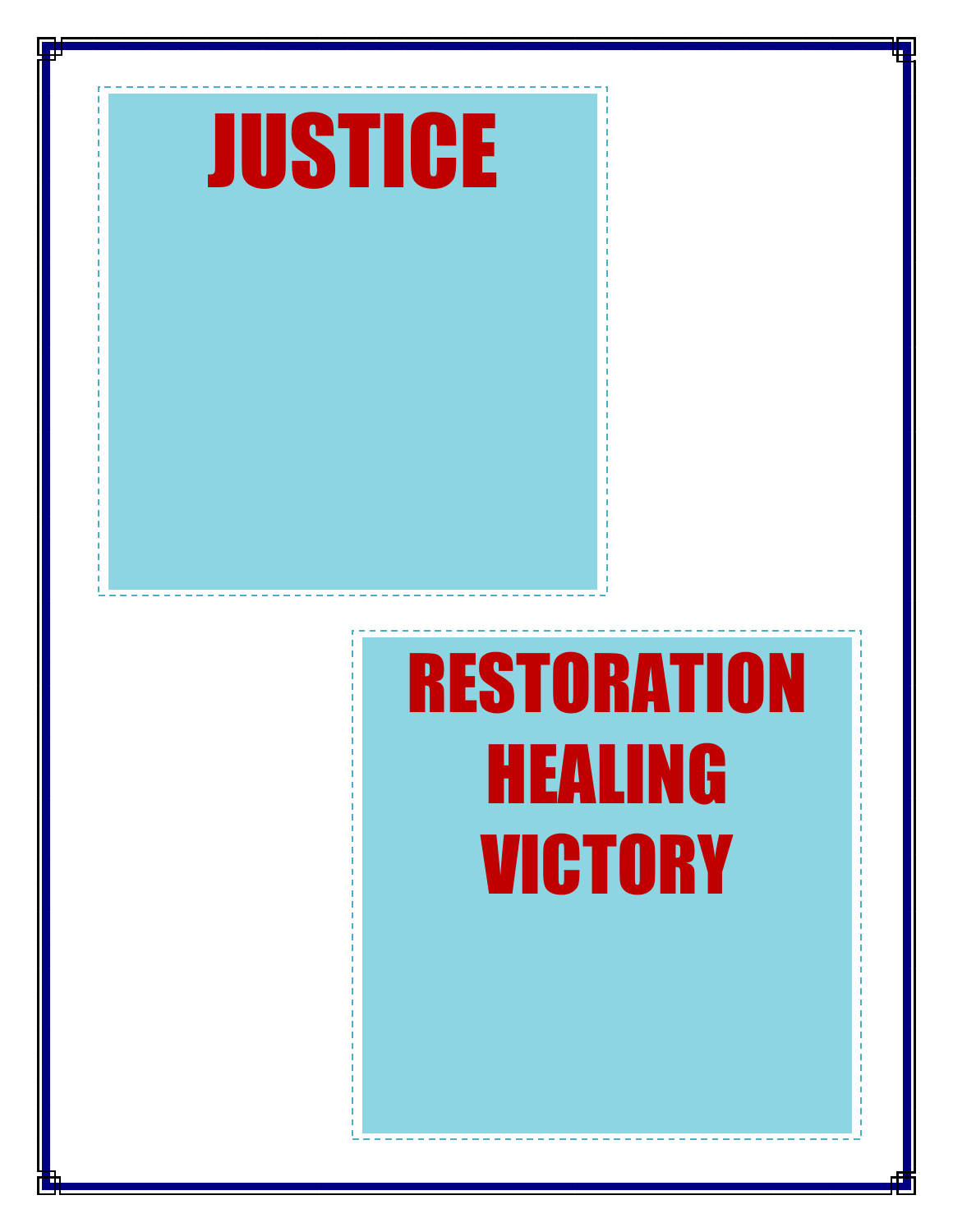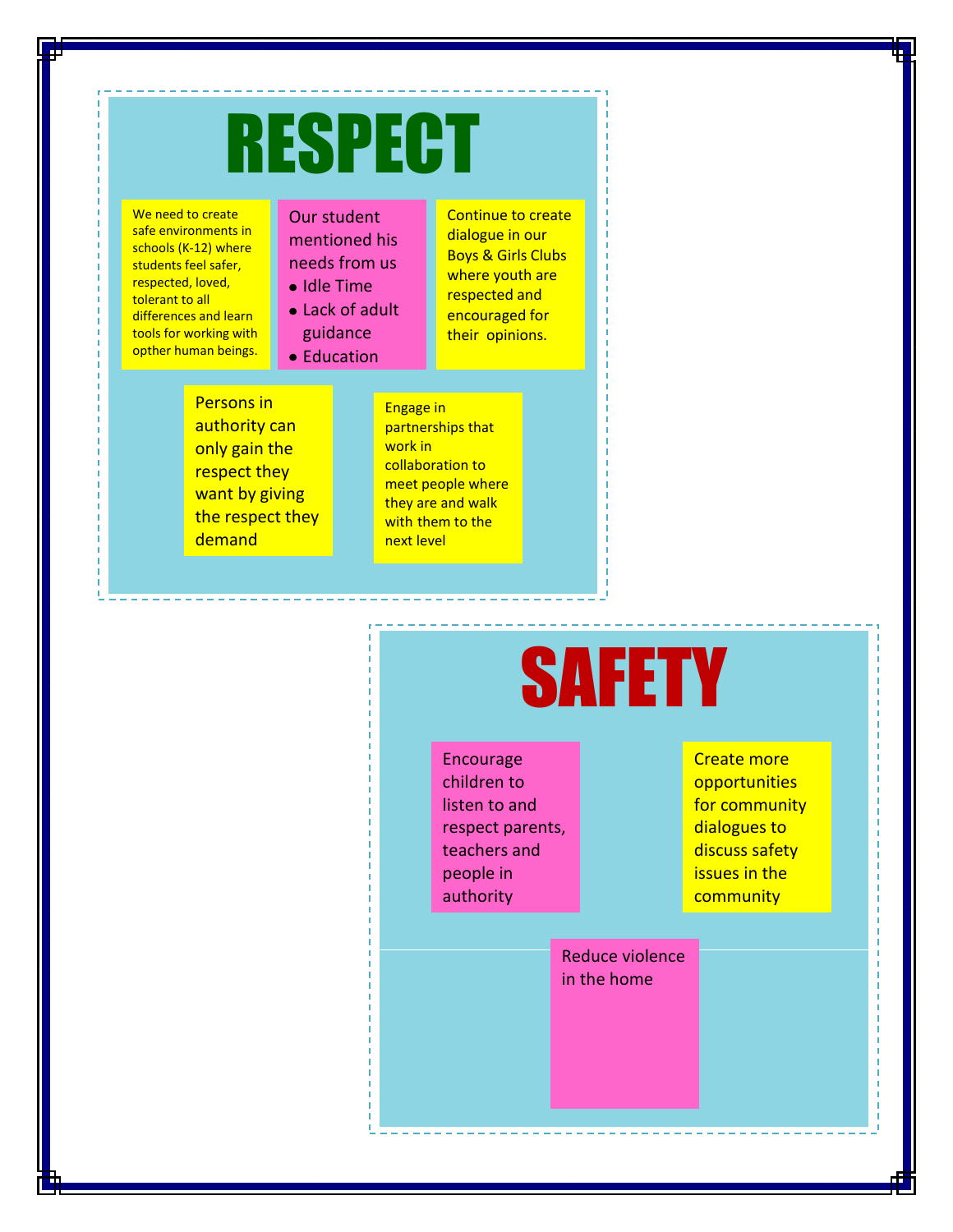## RESPECT

We need to create safe environments in schools (K-12) where students feel safer, respected, loved, tolerant to all differences and learn tools for working with opther human beings.

### Our student mentioned his needs from us

- Idle Time
- Lack of adult

guidance • Education

Persons in authority can only gain the respect they want by giving the respect they demand

Engage in partnerships that work in collaboration to meet people where they are and walk with them to the next level

Continue to create dialogue in our Boys & Girls Clubs where youth are respected and encouraged for their opinions.

## **SAFETY**

Encourage children to listen to and respect parents, teachers and people in authority

Create more opportunities for community dialogues to discuss safety issues in the community

rights

Reduce violence in the home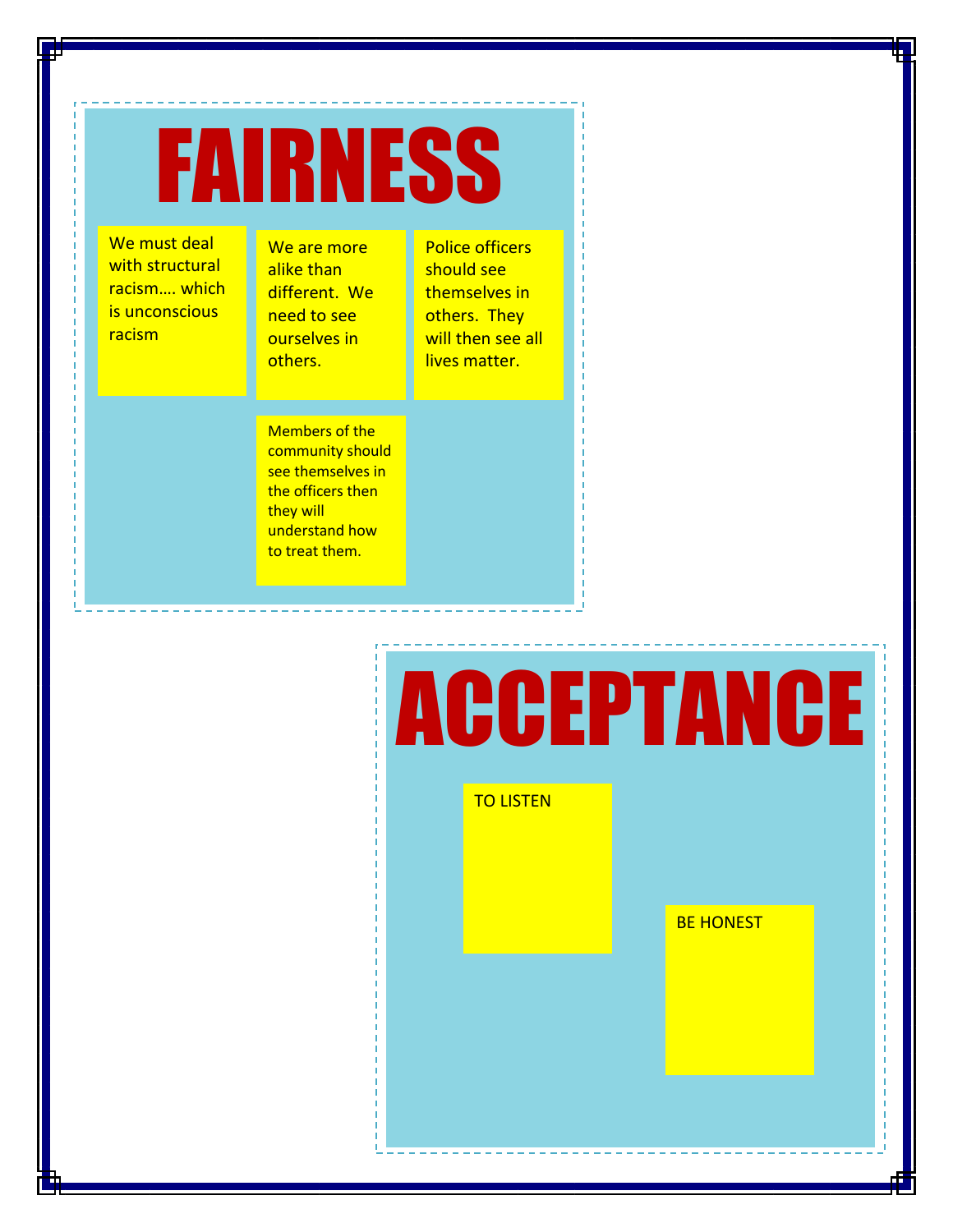## FAIRNESS

We must deal with structural racism…. which is unconscious racism

We are more alike than different. We need to see ourselves in others.

Police officers should see themselves in others. They will then see all lives matter.

Members of the community should see themselves in the officers then they will understand how to treat them.

# ACCEPTANCE TO LISTEN

**BE HONEST**